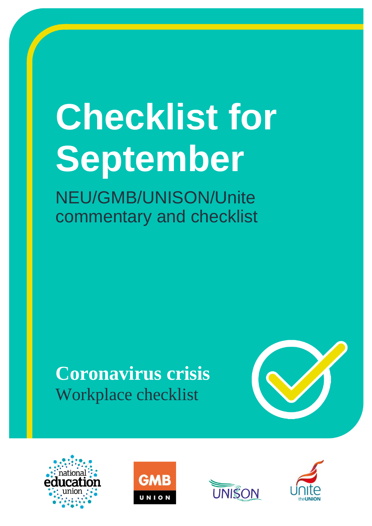# **Checklist for September**

NEU/GMB/UNISON/Unite commentary and checklist

# **Coronavirus crisis** Workplace checklist









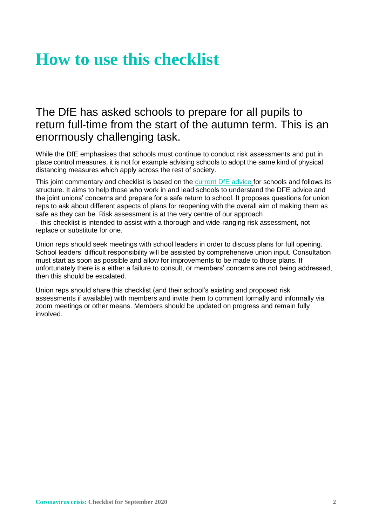# **How to use this checklist**

# The DfE has asked schools to prepare for all pupils to return full-time from the start of the autumn term. This is an enormously challenging task.

While the DfE emphasises that schools must continue to conduct risk assessments and put in place control measures, it is not for example advising schools to adopt the same kind of physical distancing measures which apply across the rest of society.

This joint commentary and checklist is based on the [current DfE advice](https://www.gov.uk/government/publications/actions-for-schools-during-the-coronavirus-outbreak/guidance-for-full-opening-schools) for schools and follows its structure. It aims to help those who work in and lead schools to understand the DFE advice and the joint unions' concerns and prepare for a safe return to school. It proposes questions for union reps to ask about different aspects of plans for reopening with the overall aim of making them as safe as they can be. Risk assessment is at the very centre of our approach

- this checklist is intended to assist with a thorough and wide-ranging risk assessment, not replace or substitute for one.

Union reps should seek meetings with school leaders in order to discuss plans for full opening. School leaders' difficult responsibility will be assisted by comprehensive union input. Consultation must start as soon as possible and allow for improvements to be made to those plans. If unfortunately there is a either a failure to consult, or members' concerns are not being addressed, then this should be escalated.

Union reps should share this checklist (and their school's existing and proposed risk assessments if available) with members and invite them to comment formally and informally via zoom meetings or other means. Members should be updated on progress and remain fully involved.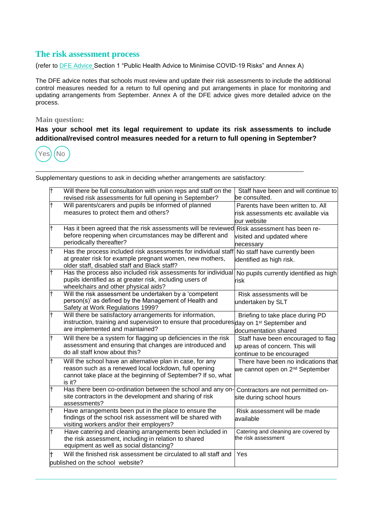#### **The risk assessment process**

(refer to [DFE Advice](https://www.gov.uk/government/publications/actions-for-schools-during-the-coronavirus-outbreak/guidance-for-full-opening-schools) Section 1 "Public Health Advice to Minimise COVID-19 Risks" and Annex A)

The DFE advice notes that schools must review and update their risk assessments to include the additional control measures needed for a return to full opening and put arrangements in place for monitoring and updating arrangements from September. Annex A of the DFE advice gives more detailed advice on the process.

#### **Main question:**

**Has your school met its legal requirement to update its risk assessments to include additional/revised control measures needed for a return to full opening in September?**



| F          | Will there be full consultation with union reps and staff on the<br>revised risk assessments for full opening in September?                                                                         | Staff have been and will continue to<br>be consulted.                                             |
|------------|-----------------------------------------------------------------------------------------------------------------------------------------------------------------------------------------------------|---------------------------------------------------------------------------------------------------|
| t          | Will parents/carers and pupils be informed of planned<br>measures to protect them and others?                                                                                                       | Parents have been written to. All<br>risk assessments etc available via<br>lour website           |
| lt.        | Has it been agreed that the risk assessments will be reviewed<br>before reopening when circumstances may be different and<br>periodically thereafter?                                               | Risk assessment has been re-<br>visited and updated where<br>necessary                            |
| lt.        | Has the process included risk assessments for individual staff<br>at greater risk for example pregnant women, new mothers,<br>older staff, disabled staff and Black staff?                          | No staff have currently been<br>identified as high risk.                                          |
| F          | Has the process also included risk assessments for individual<br>pupils identified as at greater risk, including users of<br>wheelchairs and other physical aids?                                   | No pupils currently identified as high<br>risk                                                    |
| lt         | Will the risk assessment be undertaken by a 'competent<br>person(s)' as defined by the Management of Health and<br>Safety at Work Regulations 1999?                                                 | Risk assessments will be<br>undertaken by SLT                                                     |
| lt.        | Will there be satisfactory arrangements for information,<br>instruction, training and supervision to ensure that procedures day on 1 <sup>st</sup> September and<br>are implemented and maintained? | Briefing to take place during PD<br>documentation shared                                          |
| t          | Will there be a system for flagging up deficiencies in the risk<br>assessment and ensuring that changes are introduced and<br>do all staff know about this?                                         | Staff have been encouraged to flag<br>up areas of concern. This will<br>continue to be encouraged |
| t          | Will the school have an alternative plan in case, for any<br>reason such as a renewed local lockdown, full opening<br>cannot take place at the beginning of September? If so, what<br>is it?        | There have been no indications that<br>we cannot open on 2 <sup>nd</sup> September                |
| $\ddagger$ | Has there been co-ordination between the school and any on-<br>site contractors in the development and sharing of risk<br>assessments?                                                              | Contractors are not permitted on-<br>site during school hours                                     |
| $\ddagger$ | Have arrangements been put in the place to ensure the<br>findings of the school risk assessment will be shared with<br>visiting workers and/or their employers?                                     | Risk assessment will be made<br>available                                                         |
| lt         | Have catering and cleaning arrangements been included in<br>the risk assessment, including in relation to shared<br>equipment as well as social distancing?                                         | Catering and cleaning are covered by<br>the risk assessment                                       |
| lt.        | Will the finished risk assessment be circulated to all staff and                                                                                                                                    | Yes                                                                                               |
|            | published on the school website?                                                                                                                                                                    |                                                                                                   |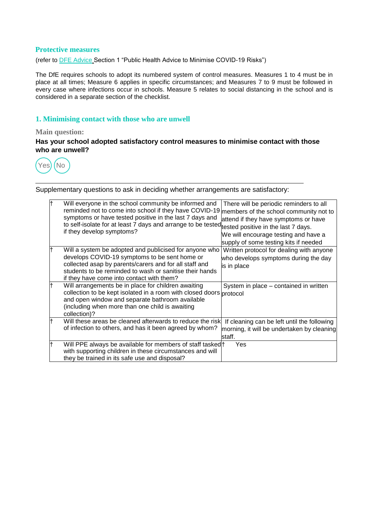#### **Protective measures**

(refer to [DFE Advice](https://www.gov.uk/government/publications/actions-for-schools-during-the-coronavirus-outbreak/guidance-for-full-opening-schools) Section 1 "Public Health Advice to Minimise COVID-19 Risks")

The DfE requires schools to adopt its numbered system of control measures. Measures 1 to 4 must be in place at all times; Measure 6 applies in specific circumstances; and Measures 7 to 9 must be followed in every case where infections occur in schools. Measure 5 relates to social distancing in the school and is considered in a separate section of the checklist.

#### **1. Minimising contact with those who are unwell**

#### **Main question:**

**Has your school adopted satisfactory control measures to minimise contact with those who are unwell?**



| Will everyone in the school community be informed and<br>reminded not to come into school if they have COVID-19<br>symptoms or have tested positive in the last 7 days and<br>to self-isolate for at least 7 days and arrange to be tested <sub>itested</sub> positive in the last 7 days.<br>if they develop symptoms? | There will be periodic reminders to all<br>members of the school community not to<br>attend if they have symptoms or have<br>We will encourage testing and have a<br>supply of some testing kits if needed |
|-------------------------------------------------------------------------------------------------------------------------------------------------------------------------------------------------------------------------------------------------------------------------------------------------------------------------|------------------------------------------------------------------------------------------------------------------------------------------------------------------------------------------------------------|
| Will a system be adopted and publicised for anyone who<br>develops COVID-19 symptoms to be sent home or<br>collected asap by parents/carers and for all staff and<br>students to be reminded to wash or sanitise their hands<br>if they have come into contact with them?                                               | Written protocol for dealing with anyone<br>who develops symptoms during the day<br>is in place                                                                                                            |
| Will arrangements be in place for children awaiting<br>collection to be kept isolated in a room with closed doors protocol<br>and open window and separate bathroom available<br>(including when more than one child is awaiting<br>collection)?                                                                        | System in place – contained in written                                                                                                                                                                     |
| Will these areas be cleaned afterwards to reduce the risk<br>of infection to others, and has it been agreed by whom?                                                                                                                                                                                                    | If cleaning can be left until the following<br>morning, it will be undertaken by cleaning<br>staff.                                                                                                        |
| Will PPE always be available for members of staff tasked +<br>with supporting children in these circumstances and will<br>they be trained in its safe use and disposal?                                                                                                                                                 | Yes                                                                                                                                                                                                        |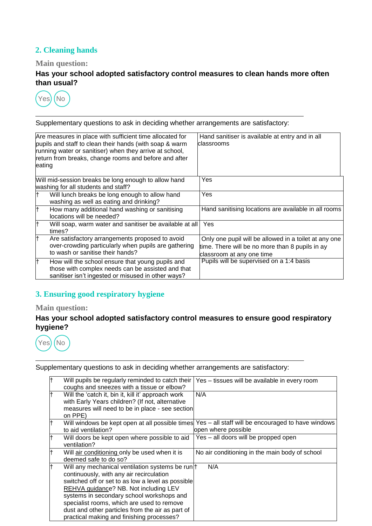# **2. Cleaning hands**

#### **Main question:**

**Has your school adopted satisfactory control measures to clean hands more often than usual?**



Supplementary questions to ask in deciding whether arrangements are satisfactory:

| eating | Are measures in place with sufficient time allocated for<br>pupils and staff to clean their hands (with soap & warm<br>running water or sanitiser) when they arrive at school,<br>return from breaks, change rooms and before and after | Hand sanitiser is available at entry and in all<br>classrooms                                                                         |
|--------|-----------------------------------------------------------------------------------------------------------------------------------------------------------------------------------------------------------------------------------------|---------------------------------------------------------------------------------------------------------------------------------------|
|        | Will mid-session breaks be long enough to allow hand<br>washing for all students and staff?                                                                                                                                             | Yes                                                                                                                                   |
|        | Will lunch breaks be long enough to allow hand<br>washing as well as eating and drinking?                                                                                                                                               | Yes                                                                                                                                   |
| lt     | How many additional hand washing or sanitising<br>locations will be needed?                                                                                                                                                             | Hand sanitising locations are available in all rooms                                                                                  |
| lt     | Will soap, warm water and sanitiser be available at all<br>times?                                                                                                                                                                       | <b>Yes</b>                                                                                                                            |
| l†     | Are satisfactory arrangements proposed to avoid<br>over-crowding particularly when pupils are gathering<br>to wash or sanitise their hands?                                                                                             | Only one pupil will be allowed in a toilet at any one<br>time. There will be no more than 8 pupils in ay<br>classroom at any one time |
|        | How will the school ensure that young pupils and<br>those with complex needs can be assisted and that<br>sanitiser isn't ingested or misused in other ways?                                                                             | Pupils will be supervised on a 1:4 basis                                                                                              |

# **3. Ensuring good respiratory hygiene**

# **Main question:**

#### **Has your school adopted satisfactory control measures to ensure good respiratory hygiene?**



| Will pupils be regularly reminded to catch their<br>coughs and sneezes with a tissue or elbow?                                                                                                                                                                                                                                                                                         | Yes – tissues will be available in every room                             |
|----------------------------------------------------------------------------------------------------------------------------------------------------------------------------------------------------------------------------------------------------------------------------------------------------------------------------------------------------------------------------------------|---------------------------------------------------------------------------|
| Will the 'catch it, bin it, kill it' approach work<br>with Early Years children? (If not, alternative<br>measures will need to be in place - see section<br>on PPE)                                                                                                                                                                                                                    | N/A                                                                       |
| Will windows be kept open at all possible times<br>to aid ventilation?                                                                                                                                                                                                                                                                                                                 | Yes – all staff will be encouraged to have windows<br>open where possible |
| Will doors be kept open where possible to aid<br>ventilation?                                                                                                                                                                                                                                                                                                                          | Yes - all doors will be propped open                                      |
| Will air conditioning only be used when it is<br>deemed safe to do so?                                                                                                                                                                                                                                                                                                                 | No air conditioning in the main body of school                            |
| Will any mechanical ventilation systems be run  <br>continuously, with any air recirculation<br>switched off or set to as low a level as possible<br>REHVA guidance? NB. Not including LEV<br>systems in secondary school workshops and<br>specialist rooms, which are used to remove<br>dust and other particles from the air as part of<br>practical making and finishing processes? | N/A                                                                       |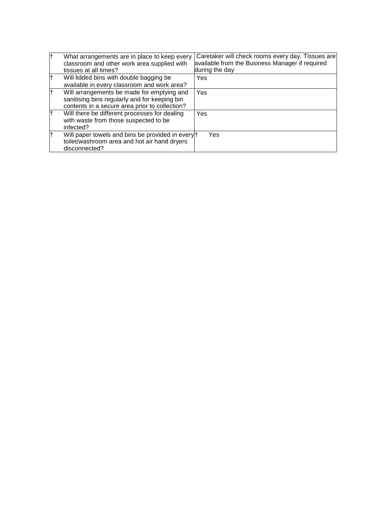| lt | What arrangements are in place to keep every<br>classroom and other work area supplied with<br>tissues at all times?                          | Caretaker will check rooms every day. Tissues are<br>available from the Business Manager if required<br>during the day |
|----|-----------------------------------------------------------------------------------------------------------------------------------------------|------------------------------------------------------------------------------------------------------------------------|
|    | Will lidded bins with double bagging be<br>available in every classroom and work area?                                                        | Yes                                                                                                                    |
| lt | Will arrangements be made for emptying and<br>sanitising bins regularly and for keeping bin<br>contents in a secure area prior to collection? | Yes                                                                                                                    |
| lt | Will there be different processes for dealing<br>with waste from those suspected to be<br>infected?                                           | Yes                                                                                                                    |
|    | Will paper towels and bins be provided in every †<br>toilet/washroom area and hot air hand dryers<br>disconnected?                            | Yes                                                                                                                    |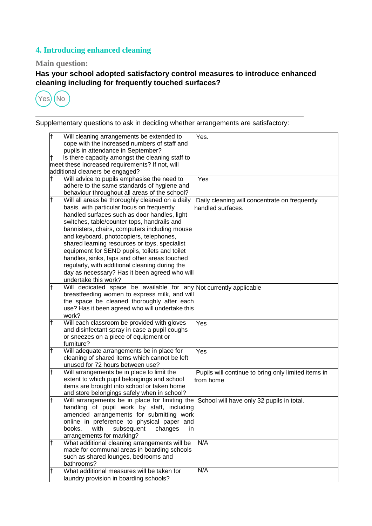# **4. Introducing enhanced cleaning**

# **Main question:**

**Has your school adopted satisfactory control measures to introduce enhanced cleaning including for frequently touched surfaces?**



| lt  | Will cleaning arrangements be extended to                                                                           | Yes.                                                |
|-----|---------------------------------------------------------------------------------------------------------------------|-----------------------------------------------------|
|     | cope with the increased numbers of staff and                                                                        |                                                     |
|     | pupils in attendance in September?                                                                                  |                                                     |
|     | Is there capacity amongst the cleaning staff to                                                                     |                                                     |
|     | meet these increased requirements? If not, will                                                                     |                                                     |
|     | additional cleaners be engaged?                                                                                     |                                                     |
|     | Will advice to pupils emphasise the need to                                                                         | Yes                                                 |
|     | adhere to the same standards of hygiene and                                                                         |                                                     |
|     | behaviour throughout all areas of the school?                                                                       |                                                     |
| lt. | Will all areas be thoroughly cleaned on a daily                                                                     | Daily cleaning will concentrate on frequently       |
|     | basis, with particular focus on frequently                                                                          | handled surfaces.                                   |
|     | handled surfaces such as door handles, light                                                                        |                                                     |
|     | switches, table/counter tops, handrails and                                                                         |                                                     |
|     | bannisters, chairs, computers including mouse                                                                       |                                                     |
|     | and keyboard, photocopiers, telephones,                                                                             |                                                     |
|     | shared learning resources or toys, specialist                                                                       |                                                     |
|     | equipment for SEND pupils, toilets and toilet                                                                       |                                                     |
|     | handles, sinks, taps and other areas touched<br>regularly, with additional cleaning during the                      |                                                     |
|     |                                                                                                                     |                                                     |
|     | day as necessary? Has it been agreed who will<br>undertake this work?                                               |                                                     |
|     |                                                                                                                     |                                                     |
|     | Will dedicated space be available for any Not currently applicable<br>breastfeeding women to express milk, and will |                                                     |
|     | the space be cleaned thoroughly after each                                                                          |                                                     |
|     | use? Has it been agreed who will undertake this                                                                     |                                                     |
|     | work?                                                                                                               |                                                     |
|     | Will each classroom be provided with gloves                                                                         | Yes                                                 |
|     | and disinfectant spray in case a pupil coughs                                                                       |                                                     |
|     | or sneezes on a piece of equipment or                                                                               |                                                     |
|     | furniture?                                                                                                          |                                                     |
|     | Will adequate arrangements be in place for                                                                          | Yes                                                 |
|     | cleaning of shared items which cannot be left                                                                       |                                                     |
|     | unused for 72 hours between use?                                                                                    |                                                     |
|     | Will arrangements be in place to limit the                                                                          | Pupils will continue to bring only limited items in |
|     | extent to which pupil belongings and school                                                                         | from home                                           |
|     | items are brought into school or taken home                                                                         |                                                     |
|     | and store belongings safely when in school?                                                                         |                                                     |
|     | Will arrangements be in place for limiting the                                                                      | School will have only 32 pupils in total.           |
|     | handling of pupil work by staff, including                                                                          |                                                     |
|     | amended arrangements for submitting work                                                                            |                                                     |
|     | online in preference to physical paper and                                                                          |                                                     |
|     | with<br>subsequent<br>changes<br>in<br>books.                                                                       |                                                     |
|     | arrangements for marking?                                                                                           |                                                     |
|     | What additional cleaning arrangements will be                                                                       | N/A                                                 |
|     | made for communal areas in boarding schools                                                                         |                                                     |
|     | such as shared lounges, bedrooms and                                                                                |                                                     |
|     | bathrooms?<br>What additional measures will be taken for                                                            | N/A                                                 |
|     |                                                                                                                     |                                                     |
|     | laundry provision in boarding schools?                                                                              |                                                     |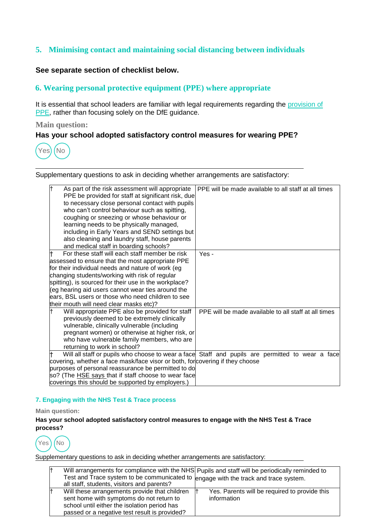# **5. Minimising contact and maintaining social distancing between individuals**

#### **See separate section of checklist below.**

# **6. Wearing personal protective equipment (PPE) where appropriate**

It is essential that school leaders are familiar with legal requirements regarding the [provision of](http://hse.gov.uk/contact/faqs/ppe.htm) [PPE,](http://hse.gov.uk/contact/faqs/ppe.htm) rather than focusing solely on the DfE guidance.

#### **Main question:**

#### **Has your school adopted satisfactory control measures for wearing PPE?**



Supplementary questions to ask in deciding whether arrangements are satisfactory:

| lt<br>As part of the risk assessment will appropriate<br>PPE be provided for staff at significant risk, due<br>to necessary close personal contact with pupils<br>who can't control behaviour such as spitting,<br>coughing or sneezing or whose behaviour or<br>learning needs to be physically managed,<br>including in Early Years and SEND settings but<br>also cleaning and laundry staff, house parents<br>and medical staff in boarding schools? | PPE will be made available to all staff at all times                                                                                                     |
|---------------------------------------------------------------------------------------------------------------------------------------------------------------------------------------------------------------------------------------------------------------------------------------------------------------------------------------------------------------------------------------------------------------------------------------------------------|----------------------------------------------------------------------------------------------------------------------------------------------------------|
| For these staff will each staff member be risk<br>assessed to ensure that the most appropriate PPE<br>for their individual needs and nature of work (eg<br>changing students/working with risk of regular<br>spitting), is sourced for their use in the workplace?<br>(eg hearing aid users cannot wear ties around the<br>ears, BSL users or those who need children to see<br>their mouth will need clear masks etc)?                                 | Yes -                                                                                                                                                    |
| Will appropriate PPE also be provided for staff<br>previously deemed to be extremely clinically<br>vulnerable, clinically vulnerable (including<br>pregnant women) or otherwise at higher risk, or<br>who have vulnerable family members, who are<br>returning to work in school?                                                                                                                                                                       | PPE will be made available to all staff at all times<br>Will all staff or pupils who choose to wear a face Staff and pupils are permitted to wear a face |
| covering, whether a face mask/face visor or both, for covering if they choose<br>purposes of personal reassurance be permitted to do<br>so? (The HSE says that if staff choose to wear face<br>coverings this should be supported by employers.)                                                                                                                                                                                                        |                                                                                                                                                          |

#### **7. Engaging with the NHS Test & Trace process**

#### **Main question:**

**Has your school adopted satisfactory control measures to engage with the NHS Test & Trace process?**



|                                                                                      | Will arrangements for compliance with the NHS Pupils and staff will be periodically reminded to |
|--------------------------------------------------------------------------------------|-------------------------------------------------------------------------------------------------|
| Test and Trace system to be communicated to lengage with the track and trace system. |                                                                                                 |
| all staff, students, visitors and parents?                                           |                                                                                                 |
| Will these arrangements provide that children                                        | Yes. Parents will be required to provide this                                                   |
| sent home with symptoms do not return to                                             | information                                                                                     |
| school until either the isolation period has                                         |                                                                                                 |
| passed or a negative test result is provided?                                        |                                                                                                 |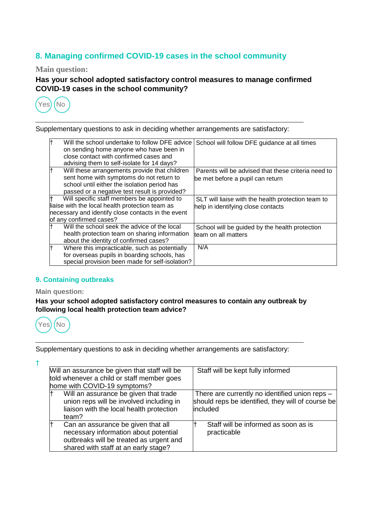# **8. Managing confirmed COVID-19 cases in the school community**

**Main question:**

**Has your school adopted satisfactory control measures to manage confirmed COVID-19 cases in the school community?**



Supplementary questions to ask in deciding whether arrangements are satisfactory:

| lt  | Will the school undertake to follow DFE advice<br>on sending home anyone who have been in<br>close contact with confirmed cases and<br>advising them to self-isolate for 14 days?          | School will follow DFE guidance at all times                                            |
|-----|--------------------------------------------------------------------------------------------------------------------------------------------------------------------------------------------|-----------------------------------------------------------------------------------------|
|     | Will these arrangements provide that children<br>sent home with symptoms do not return to<br>school until either the isolation period has<br>passed or a negative test result is provided? | Parents will be advised that these criteria need to<br>be met before a pupil can return |
|     | Will specific staff members be appointed to                                                                                                                                                | SLT will liaise with the health protection team to                                      |
|     | liaise with the local health protection team as                                                                                                                                            | help in identifying close contacts                                                      |
|     | necessary and identify close contacts in the event                                                                                                                                         |                                                                                         |
|     | of any confirmed cases?                                                                                                                                                                    |                                                                                         |
|     | Will the school seek the advice of the local                                                                                                                                               | School will be guided by the health protection                                          |
|     | health protection team on sharing information<br>about the identity of confirmed cases?                                                                                                    | team on all matters                                                                     |
| lt. | Where this impracticable, such as potentially                                                                                                                                              | N/A                                                                                     |
|     | for overseas pupils in boarding schools, has<br>special provision been made for self-isolation?                                                                                            |                                                                                         |

#### **9. Containing outbreaks**

#### **Main question:**

**Has your school adopted satisfactory control measures to contain any outbreak by following local health protection team advice?**



†

| Will an assurance be given that staff will be<br>told whenever a child or staff member goes<br>home with COVID-19 symptoms?                                    | Staff will be kept fully informed                                                                               |
|----------------------------------------------------------------------------------------------------------------------------------------------------------------|-----------------------------------------------------------------------------------------------------------------|
| Will an assurance be given that trade<br>union reps will be involved including in<br>liaison with the local health protection<br>team?                         | There are currently no identified union reps -<br>should reps be identified, they will of course be<br>included |
| Can an assurance be given that all<br>necessary information about potential<br>outbreaks will be treated as urgent and<br>shared with staff at an early stage? | Staff will be informed as soon as is<br>practicable                                                             |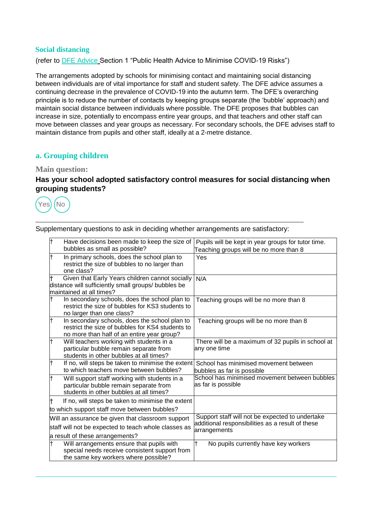#### **Social distancing**

(refer to [DFE Advice](https://www.gov.uk/government/publications/actions-for-schools-during-the-coronavirus-outbreak/guidance-for-full-opening-schools) Section 1 "Public Health Advice to Minimise COVID-19 Risks")

The arrangements adopted by schools for minimising contact and maintaining social distancing between individuals are of vital importance for staff and student safety. The DFE advice assumes a continuing decrease in the prevalence of COVID-19 into the autumn term. The DFE's overarching principle is to reduce the number of contacts by keeping groups separate (the 'bubble' approach) and maintain social distance between individuals where possible. The DFE proposes that bubbles can increase in size, potentially to encompass entire year groups, and that teachers and other staff can move between classes and year groups as necessary. For secondary schools, the DFE advises staff to maintain distance from pupils and other staff, ideally at a 2-metre distance.

# **a. Grouping children**

#### **Main question:**

#### **Has your school adopted satisfactory control measures for social distancing when grouping students?**



| lt  | Have decisions been made to keep the size of<br>bubbles as small as possible?                                                                   | Pupils will be kept in year groups for tutor time.<br>Teaching groups will be no more than 8        |
|-----|-------------------------------------------------------------------------------------------------------------------------------------------------|-----------------------------------------------------------------------------------------------------|
|     | In primary schools, does the school plan to<br>restrict the size of bubbles to no larger than<br>one class?                                     | Yes                                                                                                 |
|     | Given that Early Years children cannot socially<br>distance will sufficiently small groups/ bubbles be<br>maintained at all times?              | N/A                                                                                                 |
|     | In secondary schools, does the school plan to<br>restrict the size of bubbles for KS3 students to<br>no larger than one class?                  | Teaching groups will be no more than 8                                                              |
| lt  | In secondary schools, does the school plan to<br>restrict the size of bubbles for KS4 students to<br>no more than half of an entire year group? | Teaching groups will be no more than 8                                                              |
| lt  | Will teachers working with students in a<br>particular bubble remain separate from<br>students in other bubbles at all times?                   | There will be a maximum of 32 pupils in school at<br>any one time                                   |
| lt  | If no, will steps be taken to minimise the extent<br>to which teachers move between bubbles?                                                    | School has minimised movement between<br>bubbles as far is possible                                 |
| lt  | Will support staff working with students in a<br>particular bubble remain separate from<br>students in other bubbles at all times?              | School has minimised movement between bubbles<br>as far is possible                                 |
|     | If no, will steps be taken to minimise the extent                                                                                               |                                                                                                     |
|     | to which support staff move between bubbles?                                                                                                    |                                                                                                     |
|     | Will an assurance be given that classroom support                                                                                               | Support staff will not be expected to undertake<br>additional responsibilities as a result of these |
|     | staff will not be expected to teach whole classes as<br>a result of these arrangements?                                                         | arrangements                                                                                        |
| lt. | Will arrangements ensure that pupils with<br>special needs receive consistent support from<br>the same key workers where possible?              | No pupils currently have key workers                                                                |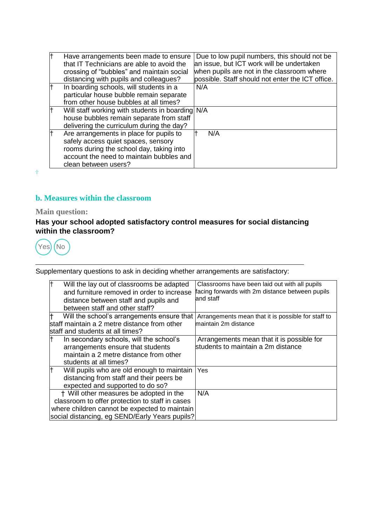| Ŧ  | Have arrangements been made to ensure<br>that IT Technicians are able to avoid the<br>crossing of "bubbles" and maintain social<br>distancing with pupils and colleagues?                      | Due to low pupil numbers, this should not be.<br>an issue, but ICT work will be undertaken<br>when pupils are not in the classroom where<br>possible. Staff should not enter the ICT office. |
|----|------------------------------------------------------------------------------------------------------------------------------------------------------------------------------------------------|----------------------------------------------------------------------------------------------------------------------------------------------------------------------------------------------|
| lt | In boarding schools, will students in a<br>particular house bubble remain separate<br>from other house bubbles at all times?                                                                   | N/A                                                                                                                                                                                          |
| lt | Will staff working with students in boarding N/A<br>house bubbles remain separate from staff<br>delivering the curriculum during the day?                                                      |                                                                                                                                                                                              |
| lt | Are arrangements in place for pupils to<br>safely access quiet spaces, sensory<br>rooms during the school day, taking into<br>account the need to maintain bubbles and<br>clean between users? | N/A                                                                                                                                                                                          |

 $\ddagger$ 

# **b. Measures within the classroom**

# **Main question:**

# **Has your school adopted satisfactory control measures for social distancing within the classroom?**



| Will the lay out of classrooms be adapted<br>and furniture removed in order to increase<br>distance between staff and pupils and<br>between staff and other staff? | Classrooms have been laid out with all pupils<br>facing forwards with 2m distance between pupils<br>and staff |
|--------------------------------------------------------------------------------------------------------------------------------------------------------------------|---------------------------------------------------------------------------------------------------------------|
| Will the school's arrangements ensure that                                                                                                                         | Arrangements mean that it is possible for staff to                                                            |
| lstaff maintain a 2 metre distance from other                                                                                                                      | maintain 2m distance                                                                                          |
| lstaff and students at all times?                                                                                                                                  |                                                                                                               |
| In secondary schools, will the school's                                                                                                                            | Arrangements mean that it is possible for                                                                     |
| arrangements ensure that students                                                                                                                                  | students to maintain a 2m distance                                                                            |
| maintain a 2 metre distance from other                                                                                                                             |                                                                                                               |
| students at all times?                                                                                                                                             |                                                                                                               |
| Will pupils who are old enough to maintain                                                                                                                         | Yes                                                                                                           |
| distancing from staff and their peers be                                                                                                                           |                                                                                                               |
| expected and supported to do so?                                                                                                                                   |                                                                                                               |
| † Will other measures be adopted in the                                                                                                                            | N/A                                                                                                           |
| classroom to offer protection to staff in cases                                                                                                                    |                                                                                                               |
| where children cannot be expected to maintain                                                                                                                      |                                                                                                               |
| social distancing, eg SEND/Early Years pupils?                                                                                                                     |                                                                                                               |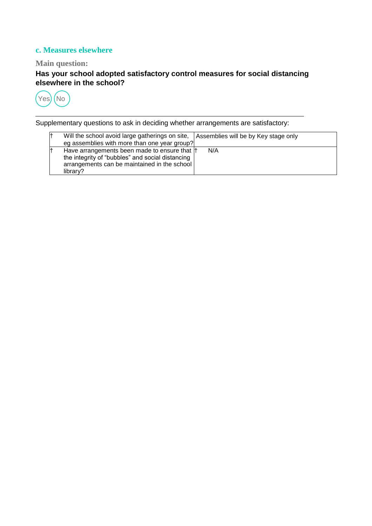# **c. Measures elsewhere**

# **Main question:**

**Has your school adopted satisfactory control measures for social distancing elsewhere in the school?**



| l† | Will the school avoid large gatherings on site,   Assemblies will be by Key stage only<br>eg assemblies with more than one year group?                        |     |
|----|---------------------------------------------------------------------------------------------------------------------------------------------------------------|-----|
| l† | Have arrangements been made to ensure that  †<br>the integrity of "bubbles" and social distancing<br>arrangements can be maintained in the school<br>library? | N/A |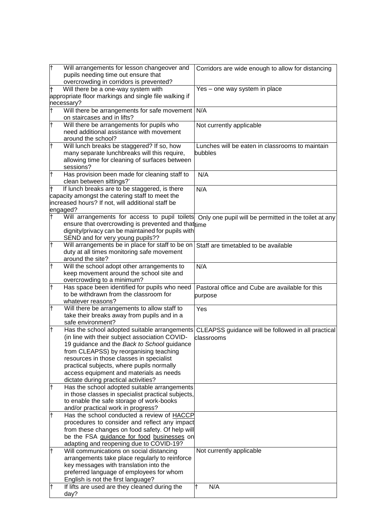| Ŧ   | Will arrangements for lesson changeover and<br>pupils needing time out ensure that                                                                        | Corridors are wide enough to allow for distancing          |
|-----|-----------------------------------------------------------------------------------------------------------------------------------------------------------|------------------------------------------------------------|
|     | overcrowding in corridors is prevented?                                                                                                                   |                                                            |
| lt  | Will there be a one-way system with<br>appropriate floor markings and single file walking if<br>necessary?                                                | Yes - one way system in place                              |
| lt. | Will there be arrangements for safe movement   N/A                                                                                                        |                                                            |
|     | on staircases and in lifts?                                                                                                                               |                                                            |
| lt. | Will there be arrangements for pupils who<br>need additional assistance with movement<br>around the school?                                               | Not currently applicable                                   |
| lt  | Will lunch breaks be staggered? If so, how<br>many separate lunchbreaks will this require,<br>allowing time for cleaning of surfaces between<br>sessions? | Lunches will be eaten in classrooms to maintain<br>bubbles |
| lt. | Has provision been made for cleaning staff to<br>clean between sittings?'                                                                                 | N/A                                                        |
|     | If lunch breaks are to be staggered, is there<br>capacity amongst the catering staff to meet the                                                          | N/A                                                        |
|     | increased hours? If not, will additional staff be                                                                                                         |                                                            |
|     | engaged?                                                                                                                                                  |                                                            |
|     | Will arrangements for access to pupil toilets                                                                                                             | Only one pupil will be permitted in the toilet at any      |
|     | ensure that overcrowding is prevented and that time                                                                                                       |                                                            |
|     | dignity/privacy can be maintained for pupils with<br>SEND and for very young pupils??                                                                     |                                                            |
| lt. | Will arrangements be in place for staff to be on Staff are timetabled to be available                                                                     |                                                            |
|     | duty at all times monitoring safe movement                                                                                                                |                                                            |
|     | around the site?                                                                                                                                          |                                                            |
| lt  | Will the school adopt other arrangements to                                                                                                               | N/A                                                        |
|     | keep movement around the school site and                                                                                                                  |                                                            |
|     | overcrowding to a minimum?                                                                                                                                |                                                            |
|     |                                                                                                                                                           |                                                            |
| lt. | Has space been identified for pupils who need                                                                                                             | Pastoral office and Cube are available for this            |
|     | to be withdrawn from the classroom for                                                                                                                    | purpose                                                    |
|     | whatever reasons?                                                                                                                                         |                                                            |
| lt. | Will there be arrangements to allow staff to                                                                                                              | Yes                                                        |
|     | take their breaks away from pupils and in a<br>safe environment?                                                                                          |                                                            |
| lt  | Has the school adopted suitable arrangements                                                                                                              | CLEAPSS guidance will be followed in all practical         |
|     | (in line with their subject association COVID-                                                                                                            | classrooms                                                 |
|     | 19 guidance and the Back to School guidance                                                                                                               |                                                            |
|     | from CLEAPSS) by reorganising teaching                                                                                                                    |                                                            |
|     | resources in those classes in specialist                                                                                                                  |                                                            |
|     | practical subjects, where pupils normally                                                                                                                 |                                                            |
|     | access equipment and materials as needs                                                                                                                   |                                                            |
|     | dictate during practical activities?                                                                                                                      |                                                            |
| lt  | Has the school adopted suitable arrangements                                                                                                              |                                                            |
|     | in those classes in specialist practical subjects,                                                                                                        |                                                            |
|     | to enable the safe storage of work-books                                                                                                                  |                                                            |
| lt  | and/or practical work in progress?<br>Has the school conducted a review of HACCP                                                                          |                                                            |
|     | procedures to consider and reflect any impact                                                                                                             |                                                            |
|     | from these changes on food safety. Of help will                                                                                                           |                                                            |
|     | be the FSA guidance for food businesses on                                                                                                                |                                                            |
|     | adapting and reopening due to COVID-19?                                                                                                                   |                                                            |
| lt  | Will communications on social distancing                                                                                                                  | Not currently applicable                                   |
|     | arrangements take place regularly to reinforce                                                                                                            |                                                            |
|     | key messages with translation into the                                                                                                                    |                                                            |
|     | preferred language of employees for whom                                                                                                                  |                                                            |
| lt  | English is not the first language?<br>If lifts are used are they cleaned during the                                                                       | lŦ.<br>N/A                                                 |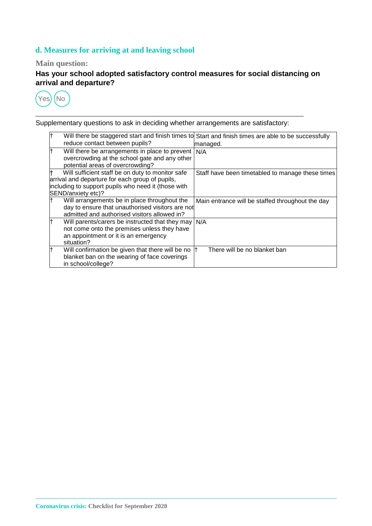# **d. Measures for arriving at and leaving school**

# **Main question:**

**Has your school adopted satisfactory control measures for social distancing on arrival and departure?**



| lt. | reduce contact between pupils?                                                                                                                                                   | Will there be staggered start and finish times to Start and finish times are able to be successfully<br>managed. |
|-----|----------------------------------------------------------------------------------------------------------------------------------------------------------------------------------|------------------------------------------------------------------------------------------------------------------|
| lt. | Will there be arrangements in place to prevent<br>overcrowding at the school gate and any other<br>potential areas of overcrowding?                                              | N/A                                                                                                              |
| lt. | Will sufficient staff be on duty to monitor safe<br>arrival and departure for each group of pupils,<br>including to support pupils who need it (those with<br>SEND/anxiety etc)? | Staff have been timetabled to manage these times                                                                 |
| lt. | Will arrangements be in place throughout the<br>day to ensure that unauthorised visitors are not<br>admitted and authorised visitors allowed in?                                 | Main entrance will be staffed throughout the day                                                                 |
| lt. | Will parents/carers be instructed that they may   N/A<br>not come onto the premises unless they have<br>an appointment or it is an emergency<br>situation?                       |                                                                                                                  |
| lt  | Will confirmation be given that there will be no<br>blanket ban on the wearing of face coverings<br>in school/college?                                                           | There will be no blanket ban                                                                                     |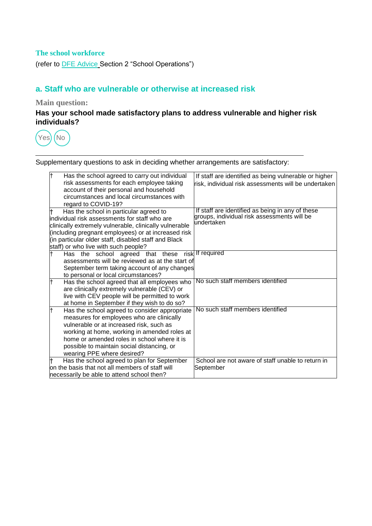# **The school workforce**

(refer to [DFE Advice](https://www.gov.uk/government/publications/actions-for-schools-during-the-coronavirus-outbreak/guidance-for-full-opening-schools) Section 2 "School Operations")

# **a. Staff who are vulnerable or otherwise at increased risk**

#### **Main question:**

# **Has your school made satisfactory plans to address vulnerable and higher risk individuals?**



| Has the school agreed to carry out individual          | If staff are identified as being vulnerable or higher     |
|--------------------------------------------------------|-----------------------------------------------------------|
| risk assessments for each employee taking              | risk, individual risk assessments will be undertaken      |
| account of their personal and household                |                                                           |
| circumstances and local circumstances with             |                                                           |
| regard to COVID-19?                                    |                                                           |
| Has the school in particular agreed to                 | If staff are identified as being in any of these          |
| individual risk assessments for staff who are          | groups, individual risk assessments will be<br>undertaken |
| clinically extremely vulnerable, clinically vulnerable |                                                           |
| (including pregnant employees) or at increased risk    |                                                           |
| (in particular older staff, disabled staff and Black   |                                                           |
| staff) or who live with such people?                   |                                                           |
| Has the school agreed that these<br>risk               | If required                                               |
| assessments will be reviewed as at the start of        |                                                           |
| September term taking account of any changes           |                                                           |
| to personal or local circumstances?                    |                                                           |
| Has the school agreed that all employees who           | No such staff members identified                          |
| are clinically extremely vulnerable (CEV) or           |                                                           |
| live with CEV people will be permitted to work         |                                                           |
| at home in September if they wish to do so?            | No such staff members identified                          |
| Has the school agreed to consider appropriate          |                                                           |
| measures for employees who are clinically              |                                                           |
| vulnerable or at increased risk, such as               |                                                           |
| working at home, working in amended roles at           |                                                           |
| home or amended roles in school where it is            |                                                           |
| possible to maintain social distancing, or             |                                                           |
| wearing PPE where desired?                             |                                                           |
| Has the school agreed to plan for September            | School are not aware of staff unable to return in         |
| on the basis that not all members of staff will        | September                                                 |
| necessarily be able to attend school then?             |                                                           |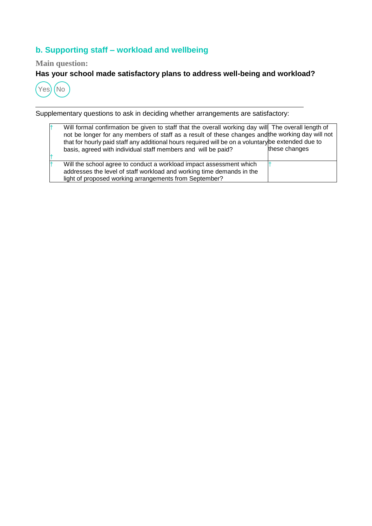# **b. Supporting staff – workload and wellbeing**

# **Main question:**

# **Has your school made satisfactory plans to address well-being and workload?**



| Will formal confirmation be given to staff that the overall working day will The overall length of<br>not be longer for any members of staff as a result of these changes and the working day will not<br>that for hourly paid staff any additional hours required will be on a voluntary be extended due to<br>basis, agreed with individual staff members and will be paid? | these changes |
|-------------------------------------------------------------------------------------------------------------------------------------------------------------------------------------------------------------------------------------------------------------------------------------------------------------------------------------------------------------------------------|---------------|
|                                                                                                                                                                                                                                                                                                                                                                               |               |
|                                                                                                                                                                                                                                                                                                                                                                               |               |
| Will the school agree to conduct a workload impact assessment which                                                                                                                                                                                                                                                                                                           |               |
| addresses the level of staff workload and working time demands in the                                                                                                                                                                                                                                                                                                         |               |
| light of proposed working arrangements from September?                                                                                                                                                                                                                                                                                                                        |               |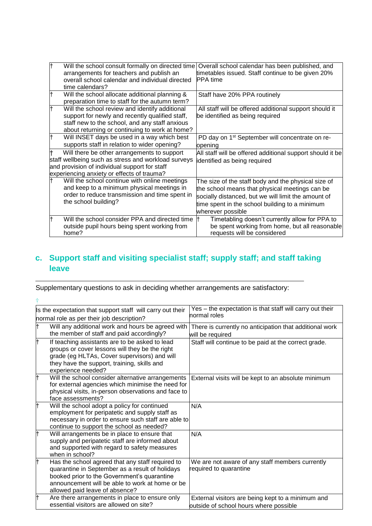| lt. | Will the school consult formally on directed time<br>arrangements for teachers and publish an<br>overall school calendar and individual directed<br>time calendars?                                   | Overall school calendar has been published, and<br>timetables issued. Staff continue to be given 20%<br>IPPA time                                                                                                                   |
|-----|-------------------------------------------------------------------------------------------------------------------------------------------------------------------------------------------------------|-------------------------------------------------------------------------------------------------------------------------------------------------------------------------------------------------------------------------------------|
|     | Will the school allocate additional planning &<br>preparation time to staff for the autumn term?                                                                                                      | Staff have 20% PPA routinely                                                                                                                                                                                                        |
|     | Will the school review and identify additional<br>support for newly and recently qualified staff,<br>staff new to the school, and any staff anxious<br>about returning or continuing to work at home? | All staff will be offered additional support should it<br>be identified as being required                                                                                                                                           |
|     | Will INSET days be used in a way which best<br>supports staff in relation to wider opening?                                                                                                           | PD day on 1 <sup>st</sup> September will concentrate on re-<br>opening                                                                                                                                                              |
|     | Will there be other arrangements to support<br>staff wellbeing such as stress and workload surveys<br>and provision of individual support for staff<br>experiencing anxiety or effects of trauma?     | All staff will be offered additional support should it be<br>identified as being required                                                                                                                                           |
|     | Will the school continue with online meetings<br>and keep to a minimum physical meetings in<br>order to reduce transmission and time spent in<br>the school building?                                 | The size of the staff body and the physical size of<br>the school means that physical meetings can be<br>socially distanced, but we will limit the amount of<br>time spent in the school building to a minimum<br>wherever possible |
|     | Will the school consider PPA and directed time<br>outside pupil hours being spent working from<br>home?                                                                                               | Timetabling doesn't currently allow for PPA to<br>be spent working from home, but all reasonable<br>requests will be considered                                                                                                     |

# **c. Support staff and visiting specialist staff; supply staff; and staff taking leave**

| Is the expectation that support staff will carry out their                                                                                                                                                                              | Yes - the expectation is that staff will carry out their                                    |
|-----------------------------------------------------------------------------------------------------------------------------------------------------------------------------------------------------------------------------------------|---------------------------------------------------------------------------------------------|
| normal role as per their job description?                                                                                                                                                                                               | normal roles                                                                                |
| Will any additional work and hours be agreed with<br>t<br>the member of staff and paid accordingly?                                                                                                                                     | There is currently no anticipation that additional work<br>will be required                 |
| It<br>If teaching assistants are to be asked to lead<br>groups or cover lessons will they be the right<br>grade (eg HLTAs, Cover supervisors) and will<br>they have the support, training, skills and<br>experience needed?             | Staff will continue to be paid at the correct grade.                                        |
| Will the school consider alternative arrangements<br>for external agencies which minimise the need for<br>physical visits, in-person observations and face to<br>face assessments?                                                      | External visits will be kept to an absolute minimum                                         |
| Will the school adopt a policy for continued<br>employment for peripatetic and supply staff as<br>necessary in order to ensure such staff are able to<br>continue to support the school as needed?                                      | N/A                                                                                         |
| Ŧ<br>Will arrangements be in place to ensure that<br>supply and peripatetic staff are informed about<br>and supported with regard to safety measures<br>when in school?                                                                 | N/A                                                                                         |
| Has the school agreed that any staff required to<br>quarantine in September as a result of holidays<br>booked prior to the Government's quarantine<br>announcement will be able to work at home or be<br>allowed paid leave of absence? | We are not aware of any staff members currently<br>required to quarantine                   |
| Are there arrangements in place to ensure only<br>essential visitors are allowed on site?                                                                                                                                               | External visitors are being kept to a minimum and<br>outside of school hours where possible |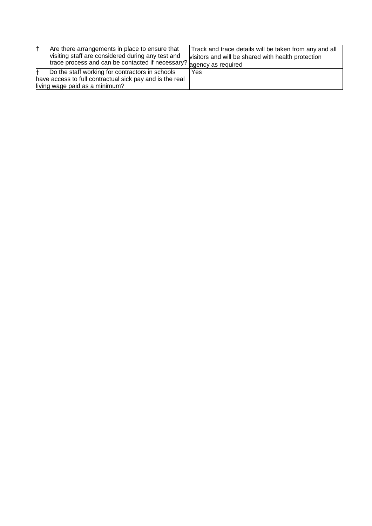| Are there arrangements in place to ensure that<br>visiting staff are considered during any test and<br>trace process and can be contacted if necessary? agency as required | Track and trace details will be taken from any and all<br>visitors and will be shared with health protection |
|----------------------------------------------------------------------------------------------------------------------------------------------------------------------------|--------------------------------------------------------------------------------------------------------------|
| Do the staff working for contractors in schools<br>have access to full contractual sick pay and is the real                                                                | Yes                                                                                                          |
| living wage paid as a minimum?                                                                                                                                             |                                                                                                              |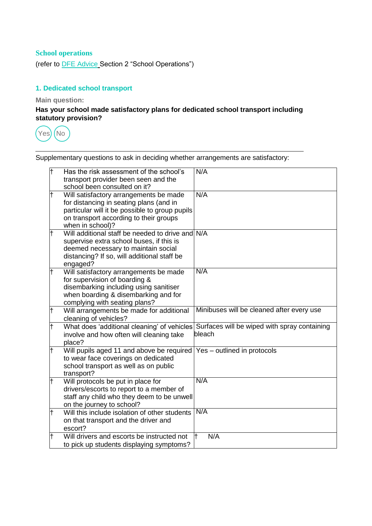# **School operations**

(refer to [DFE Advice](https://www.gov.uk/government/publications/actions-for-schools-during-the-coronavirus-outbreak/guidance-for-full-opening-schools) Section 2 "School Operations")

# **1. Dedicated school transport**

**Main question:**

**Has your school made satisfactory plans for dedicated school transport including statutory provision?**



| F   | Has the risk assessment of the school's<br>transport provider been seen and the<br>school been consulted on it?                                                                                   | N/A                                                                                                |
|-----|---------------------------------------------------------------------------------------------------------------------------------------------------------------------------------------------------|----------------------------------------------------------------------------------------------------|
| t   | Will satisfactory arrangements be made<br>for distancing in seating plans (and in<br>particular will it be possible to group pupils<br>on transport according to their groups<br>when in school)? | N/A                                                                                                |
| t   | Will additional staff be needed to drive and N/A<br>supervise extra school buses, if this is<br>deemed necessary to maintain social<br>distancing? If so, will additional staff be<br>engaged?    |                                                                                                    |
|     | Will satisfactory arrangements be made<br>for supervision of boarding &<br>disembarking including using sanitiser<br>when boarding & disembarking and for<br>complying with seating plans?        | N/A                                                                                                |
| t   | Will arrangements be made for additional<br>cleaning of vehicles?                                                                                                                                 | Minibuses will be cleaned after every use                                                          |
| t   | involve and how often will cleaning take<br>place?                                                                                                                                                | What does 'additional cleaning' of vehicles Surfaces will be wiped with spray containing<br>bleach |
|     | Will pupils aged 11 and above be required Yes – outlined in protocols<br>to wear face coverings on dedicated<br>school transport as well as on public<br>transport?                               |                                                                                                    |
| lt. | Will protocols be put in place for<br>drivers/escorts to report to a member of<br>staff any child who they deem to be unwell<br>on the journey to school?                                         | N/A                                                                                                |
| t   | Will this include isolation of other students<br>on that transport and the driver and<br>escort?                                                                                                  | N/A                                                                                                |
| t   | Will drivers and escorts be instructed not<br>to pick up students displaying symptoms?                                                                                                            | N/A<br>l t                                                                                         |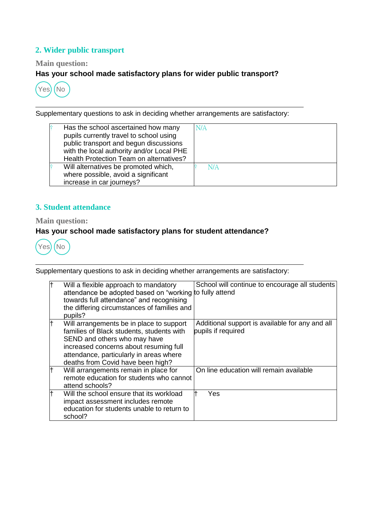# **2. Wider public transport**

#### **Main question:**

# **Has your school made satisfactory plans for wider public transport?**



Supplementary questions to ask in deciding whether arrangements are satisfactory:

| Has the school ascertained how many<br>pupils currently travel to school using<br>public transport and begun discussions<br>with the local authority and/or Local PHE<br>Health Protection Team on alternatives? | N/A |
|------------------------------------------------------------------------------------------------------------------------------------------------------------------------------------------------------------------|-----|
| Will alternatives be promoted which,<br>where possible, avoid a significant<br>increase in car journeys?                                                                                                         | N/A |

# **3. Student attendance**

**Main question:**

# **Has your school made satisfactory plans for student attendance?**



| lt | Will a flexible approach to mandatory<br>attendance be adopted based on "working to fully attend<br>towards full attendance" and recognising<br>the differing circumstances of families and<br>pupils?                                          | School will continue to encourage all students                        |
|----|-------------------------------------------------------------------------------------------------------------------------------------------------------------------------------------------------------------------------------------------------|-----------------------------------------------------------------------|
| lt | Will arrangements be in place to support<br>families of Black students, students with<br>SEND and others who may have<br>increased concerns about resuming full<br>attendance, particularly in areas where<br>deaths from Covid have been high? | Additional support is available for any and all<br>pupils if required |
| lt | Will arrangements remain in place for<br>remote education for students who cannot<br>attend schools?                                                                                                                                            | On line education will remain available                               |
| lt | Will the school ensure that its workload<br>impact assessment includes remote<br>education for students unable to return to<br>school?                                                                                                          | Yes                                                                   |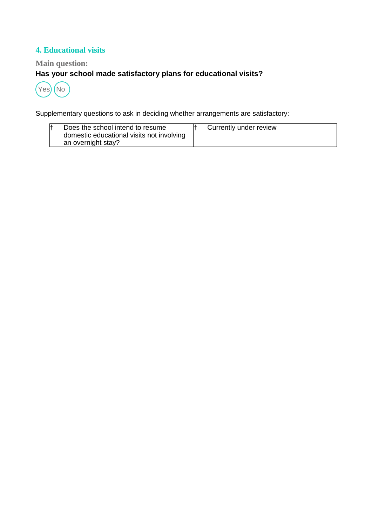# **4. Educational visits**

# **Main question:**

# **Has your school made satisfactory plans for educational visits?**



| Does the school intend to resume<br>domestic educational visits not involving<br>an overnight stay? | Currently under review |  |
|-----------------------------------------------------------------------------------------------------|------------------------|--|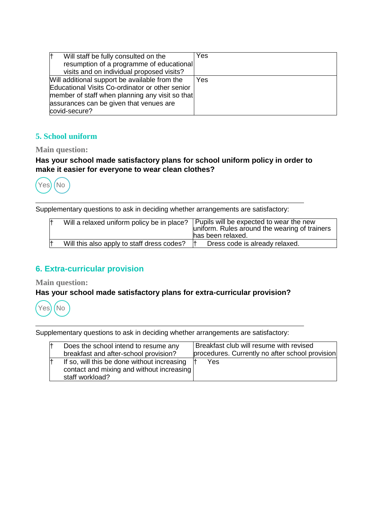| Will staff be fully consulted on the<br>resumption of a programme of educational<br>visits and on individual proposed visits?                                                                                   | Yes |
|-----------------------------------------------------------------------------------------------------------------------------------------------------------------------------------------------------------------|-----|
| Will additional support be available from the<br>Educational Visits Co-ordinator or other senior<br>member of staff when planning any visit so that<br>assurances can be given that venues are<br>covid-secure? | Yes |

# **5. School uniform**

#### **Main question:**

## **Has your school made satisfactory plans for school uniform policy in order to make it easier for everyone to wear clean clothes?**



Supplementary questions to ask in deciding whether arrangements are satisfactory:

| Will a relaxed uniform policy be in place? | Pupils will be expected to wear the new<br>uniform. Rules around the wearing of trainers<br>has been relaxed. |
|--------------------------------------------|---------------------------------------------------------------------------------------------------------------|
| Will this also apply to staff dress codes? | Dress code is already relaxed.                                                                                |

# **6. Extra-curricular provision**

**Main question:**

# **Has your school made satisfactory plans for extra-curricular provision?**



| Does the school intend to resume any        | Breakfast club will resume with revised         |
|---------------------------------------------|-------------------------------------------------|
| breakfast and after-school provision?       | procedures. Currently no after school provision |
| If so, will this be done without increasing | Yes                                             |
| contact and mixing and without increasing   |                                                 |
| staff workload?                             |                                                 |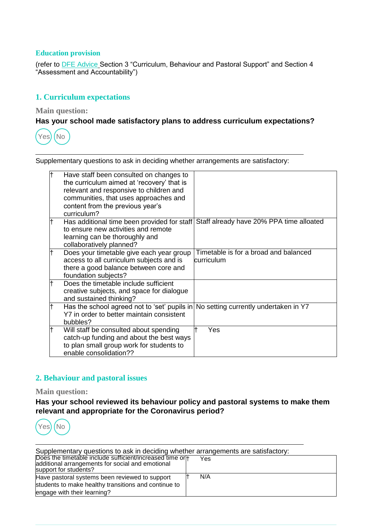#### **Education provision**

(refer to [DFE Advice](https://www.gov.uk/government/publications/actions-for-schools-during-the-coronavirus-outbreak/guidance-for-full-opening-schools) Section 3 "Curriculum, Behaviour and Pastoral Support" and Section 4 "Assessment and Accountability")

# **1. Curriculum expectations**

**Main question:**

#### **Has your school made satisfactory plans to address curriculum expectations?**



Supplementary questions to ask in deciding whether arrangements are satisfactory:

| Have staff been consulted on changes to<br>the curriculum aimed at 'recovery' that is<br>relevant and responsive to children and<br>communities, that uses approaches and<br>content from the previous year's<br>curriculum? |                                                      |
|------------------------------------------------------------------------------------------------------------------------------------------------------------------------------------------------------------------------------|------------------------------------------------------|
| Has additional time been provided for staff<br>to ensure new activities and remote<br>learning can be thoroughly and<br>collaboratively planned?                                                                             | Staff already have 20% PPA time alloated             |
| Does your timetable give each year group<br>access to all curriculum subjects and is<br>there a good balance between core and<br>foundation subjects?                                                                        | Timetable is for a broad and balanced<br>lcurriculum |
| Does the timetable include sufficient<br>creative subjects, and space for dialogue<br>and sustained thinking?                                                                                                                |                                                      |
| Has the school agreed not to 'set' pupils in No setting currently undertaken in Y7<br>Y7 in order to better maintain consistent<br>bubbles?                                                                                  |                                                      |
| Will staff be consulted about spending<br>catch-up funding and about the best ways<br>to plan small group work for students to<br>enable consolidation??                                                                     | Yes                                                  |

#### **2. Behaviour and pastoral issues**

#### **Main question:**

**Has your school reviewed its behaviour policy and pastoral systems to make them relevant and appropriate for the Coronavirus period?**



| Supplementary questions to ask in deciding whether arrangements are satisfactory:                                                      |  |     |  |
|----------------------------------------------------------------------------------------------------------------------------------------|--|-----|--|
| Does the timetable include sufficient/increased time orl+<br>additional arrangements for social and emotional<br>support for students? |  | Yes |  |
| Have pastoral systems been reviewed to support                                                                                         |  | N/A |  |
| students to make healthy transitions and continue to                                                                                   |  |     |  |
| engage with their learning?                                                                                                            |  |     |  |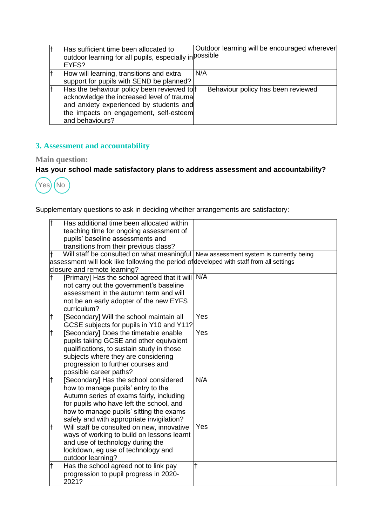| lt  | Has sufficient time been allocated to<br>outdoor learning for all pupils, especially in possible<br>EYFS?                                                                                      | Outdoor learning will be encouraged wherever |
|-----|------------------------------------------------------------------------------------------------------------------------------------------------------------------------------------------------|----------------------------------------------|
| l.  | How will learning, transitions and extra<br>support for pupils with SEND be planned?                                                                                                           | N/A                                          |
| lt. | Has the behaviour policy been reviewed to<br>acknowledge the increased level of trauma<br>and anxiety experienced by students and<br>the impacts on engagement, self-esteem<br>and behaviours? | Behaviour policy has been reviewed           |

# **3. Assessment and accountability**

# **Main question:**

# **Has your school made satisfactory plans to address assessment and accountability?**



| F          | Has additional time been allocated within<br>teaching time for ongoing assessment of<br>pupils' baseline assessments and<br>transitions from their previous class?                                                                                          |                           |
|------------|-------------------------------------------------------------------------------------------------------------------------------------------------------------------------------------------------------------------------------------------------------------|---------------------------|
|            | Will staff be consulted on what meaningful New assessment system is currently being<br>assessment will look like following the period of developed with staff from all settings<br>closure and remote learning?                                             |                           |
| lt.        | [Primary] Has the school agreed that it will N/A<br>not carry out the government's baseline<br>assessment in the autumn term and will<br>not be an early adopter of the new EYFS<br>curriculum?                                                             |                           |
| lt.        | [Secondary] Will the school maintain all<br>GCSE subjects for pupils in Y10 and Y11?                                                                                                                                                                        | Yes                       |
| $\ddagger$ | [Secondary] Does the timetable enable<br>pupils taking GCSE and other equivalent<br>qualifications, to sustain study in those<br>subjects where they are considering<br>progression to further courses and<br>possible career paths?                        | Yes                       |
| lt.        | [Secondary] Has the school considered<br>how to manage pupils' entry to the<br>Autumn series of exams fairly, including<br>for pupils who have left the school, and<br>how to manage pupils' sitting the exams<br>safely and with appropriate invigilation? | N/A                       |
| lt.        | Will staff be consulted on new, innovative<br>ways of working to build on lessons learnt<br>and use of technology during the<br>lockdown, eg use of technology and<br>outdoor learning?                                                                     | $\overline{\mathsf{Yes}}$ |
| lt.        | Has the school agreed not to link pay<br>progression to pupil progress in 2020-<br>2021?                                                                                                                                                                    |                           |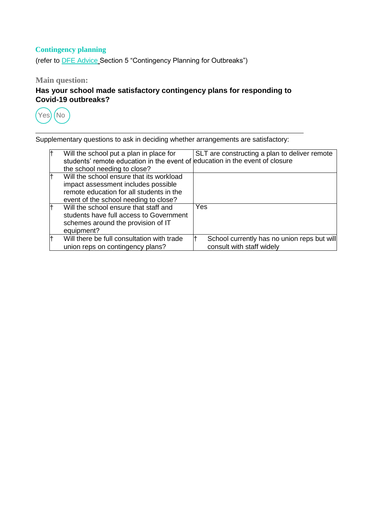# **Contingency planning**

(refer to [DFE Advice](https://www.gov.uk/government/publications/actions-for-schools-during-the-coronavirus-outbreak/guidance-for-full-opening-schools) Section 5 "Contingency Planning for Outbreaks")

**Main question:**

# **Has your school made satisfactory contingency plans for responding to Covid-19 outbreaks?**



|    | Will the school put a plan in place for<br>students' remote education in the event of education in the event of closure                                              | SLT are constructing a plan to deliver remote                            |
|----|----------------------------------------------------------------------------------------------------------------------------------------------------------------------|--------------------------------------------------------------------------|
|    | the school needing to close?                                                                                                                                         |                                                                          |
|    | Will the school ensure that its workload<br>impact assessment includes possible<br>remote education for all students in the<br>event of the school needing to close? |                                                                          |
|    | Will the school ensure that staff and<br>students have full access to Government<br>schemes around the provision of IT<br>equipment?                                 | Yes                                                                      |
| lt | Will there be full consultation with trade<br>union reps on contingency plans?                                                                                       | School currently has no union reps but will<br>consult with staff widely |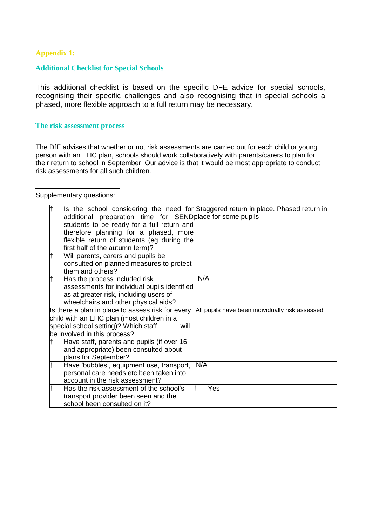#### **Appendix 1:**

#### **Additional Checklist for Special Schools**

This additional checklist is based on the specific DFE advice for special schools, recognising their specific challenges and also recognising that in special schools a phased, more flexible approach to a full return may be necessary.

#### **The risk assessment process**

The DfE advises that whether or not risk assessments are carried out for each child or young person with an EHC plan, schools should work collaboratively with parents/carers to plan for their return to school in September. Our advice is that it would be most appropriate to conduct risk assessments for all such children.

#### Supplementary questions:

|    | additional preparation time for SEND place for some pupils<br>students to be ready for a full return and<br>therefore planning for a phased, more<br>flexible return of students (eg during the<br>first half of the autumn term)? | Is the school considering the need for Staggered return in place. Phased return in |
|----|------------------------------------------------------------------------------------------------------------------------------------------------------------------------------------------------------------------------------------|------------------------------------------------------------------------------------|
| lt | Will parents, carers and pupils be<br>consulted on planned measures to protect<br>them and others?                                                                                                                                 |                                                                                    |
|    | Has the process included risk<br>assessments for individual pupils identified<br>as at greater risk, including users of<br>wheelchairs and other physical aids?                                                                    | N/A                                                                                |
|    | Is there a plan in place to assess risk for every<br>child with an EHC plan (most children in a<br>special school setting)? Which staff<br>will<br>be involved in this process?                                                    | All pupils have been individually risk assessed                                    |
|    | Have staff, parents and pupils (if over 16<br>and appropriate) been consulted about<br>plans for September?                                                                                                                        |                                                                                    |
| lt | Have 'bubbles', equipment use, transport,<br>personal care needs etc been taken into<br>account in the risk assessment?                                                                                                            | N/A                                                                                |
|    | Has the risk assessment of the school's<br>transport provider been seen and the<br>school been consulted on it?                                                                                                                    | Yes                                                                                |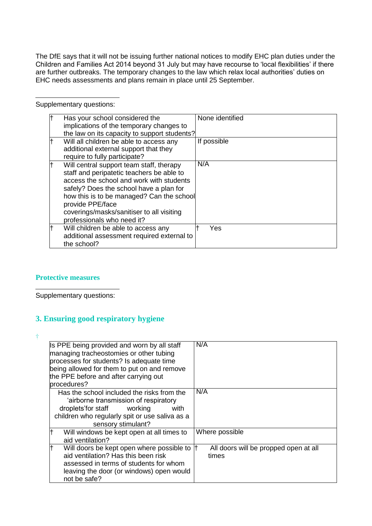The DfE says that it will not be issuing further national notices to modify EHC plan duties under the Children and Families Act 2014 beyond 31 July but may have recourse to 'local flexibilities' if there are further outbreaks. The temporary changes to the law which relax local authorities' duties on EHC needs assessments and plans remain in place until 25 September.

Supplementary questions:

| Has your school considered the<br>implications of the temporary changes to<br>the law on its capacity to support students?                                                                                                                                                                                               | None identified |
|--------------------------------------------------------------------------------------------------------------------------------------------------------------------------------------------------------------------------------------------------------------------------------------------------------------------------|-----------------|
| Will all children be able to access any<br>additional external support that they<br>require to fully participate?                                                                                                                                                                                                        | If possible     |
| Will central support team staff, therapy<br>staff and peripatetic teachers be able to<br>access the school and work with students<br>safely? Does the school have a plan for<br>how this is to be managed? Can the school<br>provide PPE/face<br>coverings/masks/sanitiser to all visiting<br>professionals who need it? | N/A             |
| Will children be able to access any<br>additional assessment required external to<br>the school?                                                                                                                                                                                                                         | Yes             |

#### **Protective measures**

Supplementary questions:

# **3. Ensuring good respiratory hygiene**

 $\ddagger$ 

| Is PPE being provided and worn by all staff<br>managing tracheostomies or other tubing<br>processes for students? Is adequate time<br>being allowed for them to put on and remove<br>the PPE before and after carrying out<br>procedures? | N/A                                            |
|-------------------------------------------------------------------------------------------------------------------------------------------------------------------------------------------------------------------------------------------|------------------------------------------------|
| Has the school included the risks from the<br>'airborne transmission of respiratory<br>droplets'for staff<br>working<br>with<br>children who regularly spit or use saliva as a<br>sensory stimulant?                                      | N/A                                            |
| lt<br>Will windows be kept open at all times to<br>aid ventilation?                                                                                                                                                                       | Where possible                                 |
| lt<br>Will doors be kept open where possible to<br>aid ventilation? Has this been risk<br>assessed in terms of students for whom<br>leaving the door (or windows) open would<br>not be safe?                                              | All doors will be propped open at all<br>times |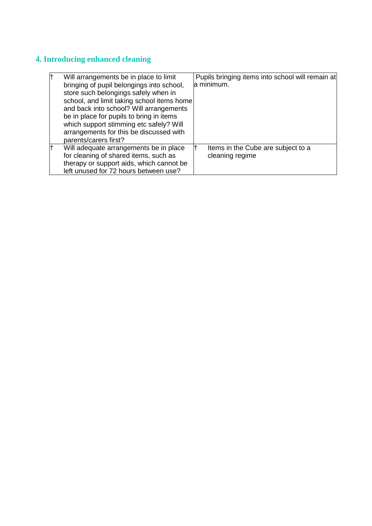# **4. Introducing enhanced cleaning**

| lt | Will arrangements be in place to limit<br>bringing of pupil belongings into school,<br>store such belongings safely when in<br>school, and limit taking school items home<br>and back into school? Will arrangements<br>be in place for pupils to bring in items<br>which support stimming etc safely? Will<br>arrangements for this be discussed with<br>parents/carers first? | Pupils bringing items into school will remain at<br>a minimum. |
|----|---------------------------------------------------------------------------------------------------------------------------------------------------------------------------------------------------------------------------------------------------------------------------------------------------------------------------------------------------------------------------------|----------------------------------------------------------------|
| lt | Will adequate arrangements be in place<br>for cleaning of shared items, such as<br>therapy or support aids, which cannot be<br>left unused for 72 hours between use?                                                                                                                                                                                                            | Items in the Cube are subject to a<br>cleaning regime          |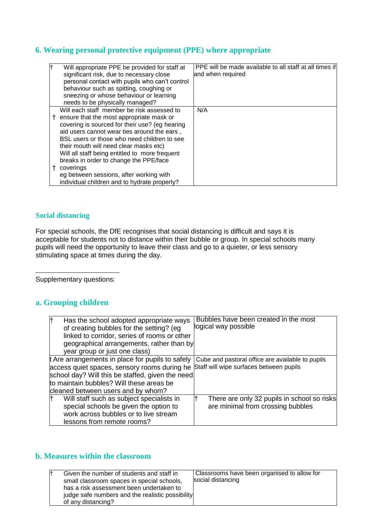# **6. Wearing personal protective equipment (PPE) where appropriate**

| $\ddagger$ | Will appropriate PPE be provided for staff at  | PPE will be made available to all staff at all times if |
|------------|------------------------------------------------|---------------------------------------------------------|
|            | significant risk, due to necessary close       | and when required                                       |
|            | personal contact with pupils who can't control |                                                         |
|            | behaviour such as spitting, coughing or        |                                                         |
|            | sneezing or whose behaviour or learning        |                                                         |
|            | needs to be physically managed?                |                                                         |
|            | Will each staff member be risk assessed to     | N/A                                                     |
|            | ensure that the most appropriate mask or       |                                                         |
|            | covering is sourced for their use? (eg hearing |                                                         |
|            | aid users cannot wear ties around the ears,    |                                                         |
|            | BSL users or those who need children to see    |                                                         |
|            | their mouth will need clear masks etc)         |                                                         |
|            | Will all staff being entitled to more frequent |                                                         |
|            | breaks in order to change the PPE/face         |                                                         |
| Ť.         | coverings                                      |                                                         |
|            | eg between sessions, after working with        |                                                         |
|            | individual children and to hydrate properly?   |                                                         |

#### **Social distancing**

For special schools, the DfE recognises that social distancing is difficult and says it is acceptable for students not to distance within their bubble or group. In special schools many pupils will need the opportunity to leave their class and go to a quieter, or less sensory stimulating space at times during the day.

Supplementary questions:

# **a. Grouping children**

| t  | Has the school adopted appropriate ways                                              | Bubbles have been created in the most                                                               |
|----|--------------------------------------------------------------------------------------|-----------------------------------------------------------------------------------------------------|
|    | of creating bubbles for the setting? (eg                                             | logical way possible                                                                                |
|    | linked to corridor, series of rooms or other                                         |                                                                                                     |
|    | geographical arrangements, rather than by                                            |                                                                                                     |
|    | year group or just one class)                                                        |                                                                                                     |
|    |                                                                                      | t Are arrangements in place for pupils to safely   Cube and pastoral office are available to pupils |
|    | access quiet spaces, sensory rooms during he Staff will wipe surfaces between pupils |                                                                                                     |
|    | school day? Will this be staffed, given the need                                     |                                                                                                     |
|    | to maintain bubbles? Will these areas be                                             |                                                                                                     |
|    | cleaned between users and by whom?                                                   |                                                                                                     |
| t. | Will staff such as subject specialists in                                            | There are only 32 pupils in school so risks                                                         |
|    | special schools be given the option to                                               | are minimal from crossing bubbles                                                                   |
|    | work across bubbles or to live stream                                                |                                                                                                     |
|    | lessons from remote rooms?                                                           |                                                                                                     |

# **b. Measures within the classroom**

| Given the number of students and staff in<br>small classroom spaces in special schools,<br>has a risk assessment been undertaken to<br>judge safe numbers and the realistic possibility<br>of any distancing? | Classrooms have been organised to allow for<br>social distancing |
|---------------------------------------------------------------------------------------------------------------------------------------------------------------------------------------------------------------|------------------------------------------------------------------|
|                                                                                                                                                                                                               |                                                                  |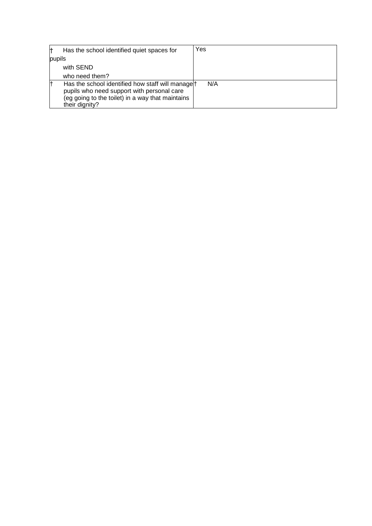| Has the school identified quiet spaces for                                                                                                                                       | Yes |
|----------------------------------------------------------------------------------------------------------------------------------------------------------------------------------|-----|
| pupils                                                                                                                                                                           |     |
| with SEND                                                                                                                                                                        |     |
| who need them?                                                                                                                                                                   |     |
| Has the school identified how staff will manage <sup>†</sup><br>pupils who need support with personal care<br>(eg going to the toilet) in a way that maintains<br>their dignity? | N/A |